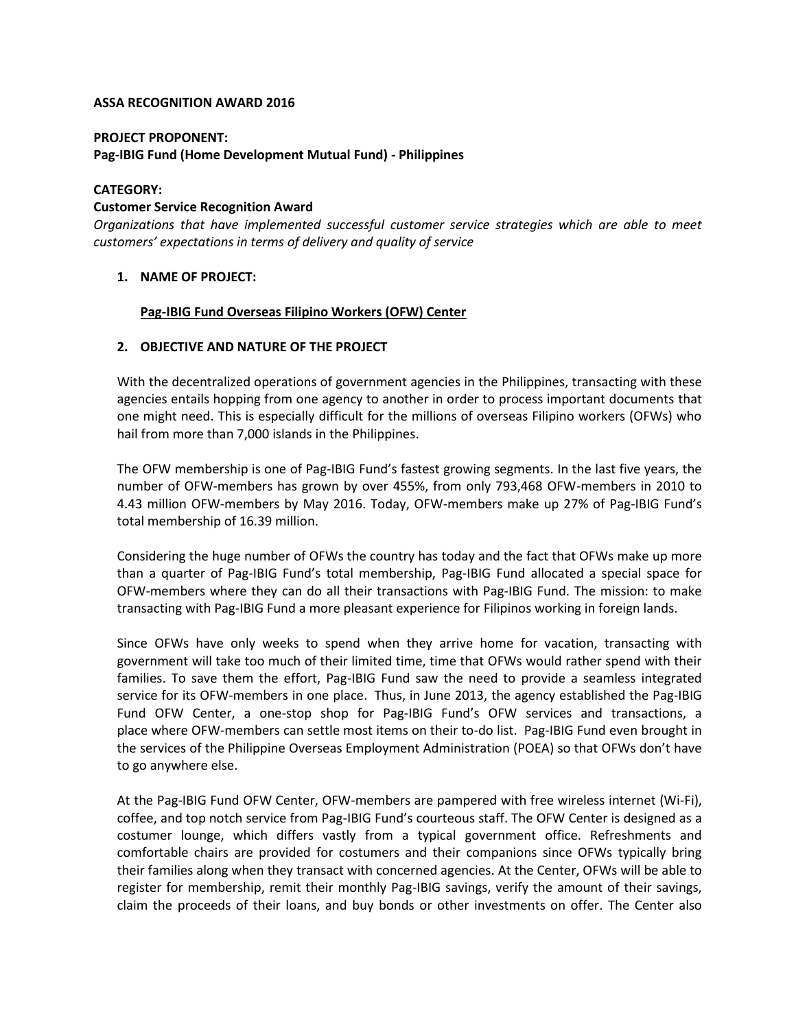### **ASSA RECOGNITION AWARD 2016**

#### **PROJECT PROPONENT:**

### **Pag-IBIG Fund (Home Development Mutual Fund) - Philippines**

#### **CATEGORY:**

### **Customer Service Recognition Award**

*Organizations that have implemented successful customer service strategies which are able to meet customers' expectations in terms of delivery and quality of service*

# **1. NAME OF PROJECT:**

### **Pag-IBIG Fund Overseas Filipino Workers (OFW) Center**

### **2. OBJECTIVE AND NATURE OF THE PROJECT**

With the decentralized operations of government agencies in the Philippines, transacting with these agencies entails hopping from one agency to another in order to process important documents that one might need. This is especially difficult for the millions of overseas Filipino workers (OFWs) who hail from more than 7,000 islands in the Philippines.

The OFW membership is one of Pag-IBIG Fund's fastest growing segments. In the last five years, the number of OFW-members has grown by over 455%, from only 793,468 OFW-members in 2010 to 4.43 million OFW-members by May 2016. Today, OFW-members make up 27% of Pag-IBIG Fund's total membership of 16.39 million.

Considering the huge number of OFWs the country has today and the fact that OFWs make up more than a quarter of Pag-IBIG Fund's total membership, Pag-IBIG Fund allocated a special space for OFW-members where they can do all their transactions with Pag-IBIG Fund. The mission: to make transacting with Pag-IBIG Fund a more pleasant experience for Filipinos working in foreign lands.

Since OFWs have only weeks to spend when they arrive home for vacation, transacting with government will take too much of their limited time, time that OFWs would rather spend with their families. To save them the effort, Pag-IBIG Fund saw the need to provide a seamless integrated service for its OFW-members in one place. Thus, in June 2013, the agency established the Pag-IBIG Fund OFW Center, a one-stop shop for Pag-IBIG Fund's OFW services and transactions, a place where OFW-members can settle most items on their to-do list. Pag-IBIG Fund even brought in the services of the Philippine Overseas Employment Administration (POEA) so that OFWs don't have to go anywhere else.

At the Pag-IBIG Fund OFW Center, OFW-members are pampered with free wireless internet (Wi-Fi), coffee, and top notch service from Pag-IBIG Fund's courteous staff. The OFW Center is designed as a costumer lounge, which differs vastly from a typical government office. Refreshments and comfortable chairs are provided for costumers and their companions since OFWs typically bring their families along when they transact with concerned agencies. At the Center, OFWs will be able to register for membership, remit their monthly Pag-IBIG savings, verify the amount of their savings, claim the proceeds of their loans, and buy bonds or other investments on offer. The Center also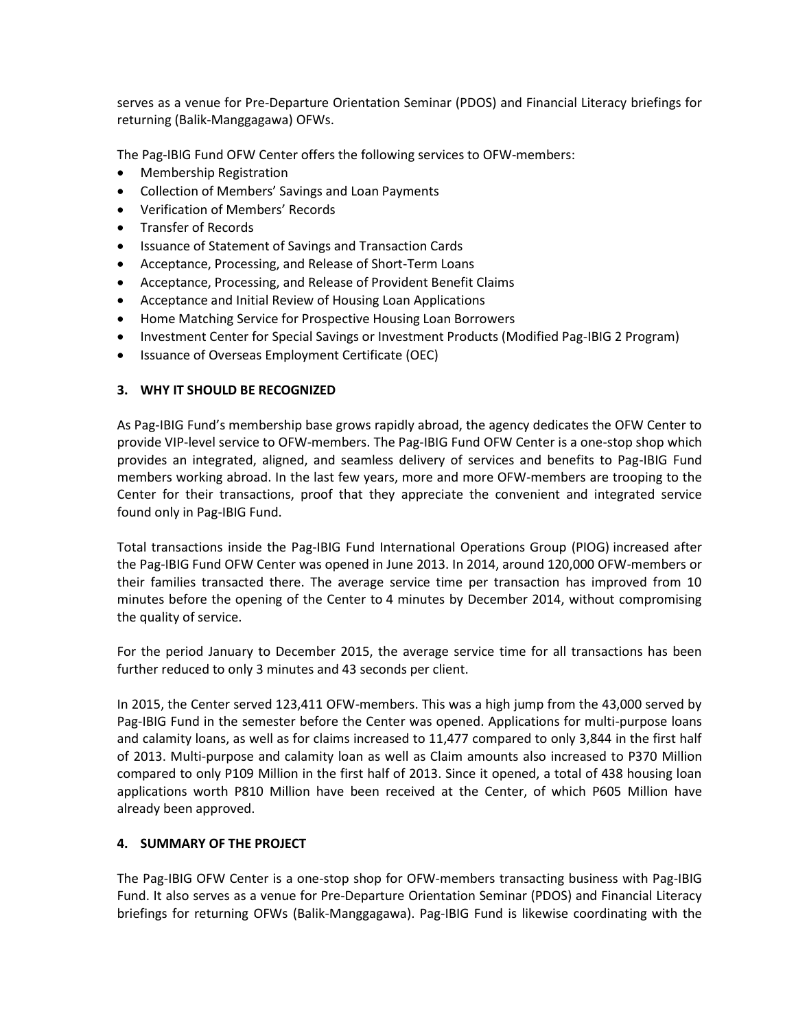serves as a venue for Pre-Departure Orientation Seminar (PDOS) and Financial Literacy briefings for returning (Balik-Manggagawa) OFWs.

The Pag-IBIG Fund OFW Center offers the following services to OFW-members:

- Membership Registration
- Collection of Members' Savings and Loan Payments
- Verification of Members' Records
- Transfer of Records
- Issuance of Statement of Savings and Transaction Cards
- Acceptance, Processing, and Release of Short-Term Loans
- Acceptance, Processing, and Release of Provident Benefit Claims
- Acceptance and Initial Review of Housing Loan Applications
- Home Matching Service for Prospective Housing Loan Borrowers
- Investment Center for Special Savings or Investment Products (Modified Pag-IBIG 2 Program)
- Issuance of Overseas Employment Certificate (OEC)

# **3. WHY IT SHOULD BE RECOGNIZED**

As Pag-IBIG Fund's membership base grows rapidly abroad, the agency dedicates the OFW Center to provide VIP-level service to OFW-members. The Pag-IBIG Fund OFW Center is a one-stop shop which provides an integrated, aligned, and seamless delivery of services and benefits to Pag-IBIG Fund members working abroad. In the last few years, more and more OFW-members are trooping to the Center for their transactions, proof that they appreciate the convenient and integrated service found only in Pag-IBIG Fund.

Total transactions inside the Pag-IBIG Fund International Operations Group (PIOG) increased after the Pag-IBIG Fund OFW Center was opened in June 2013. In 2014, around 120,000 OFW-members or their families transacted there. The average service time per transaction has improved from 10 minutes before the opening of the Center to 4 minutes by December 2014, without compromising the quality of service.

For the period January to December 2015, the average service time for all transactions has been further reduced to only 3 minutes and 43 seconds per client.

In 2015, the Center served 123,411 OFW-members. This was a high jump from the 43,000 served by Pag-IBIG Fund in the semester before the Center was opened. Applications for multi-purpose loans and calamity loans, as well as for claims increased to 11,477 compared to only 3,844 in the first half of 2013. Multi-purpose and calamity loan as well as Claim amounts also increased to P370 Million compared to only P109 Million in the first half of 2013. Since it opened, a total of 438 housing loan applications worth P810 Million have been received at the Center, of which P605 Million have already been approved.

# **4. SUMMARY OF THE PROJECT**

The Pag-IBIG OFW Center is a one-stop shop for OFW-members transacting business with Pag-IBIG Fund. It also serves as a venue for Pre-Departure Orientation Seminar (PDOS) and Financial Literacy briefings for returning OFWs (Balik-Manggagawa). Pag-IBIG Fund is likewise coordinating with the